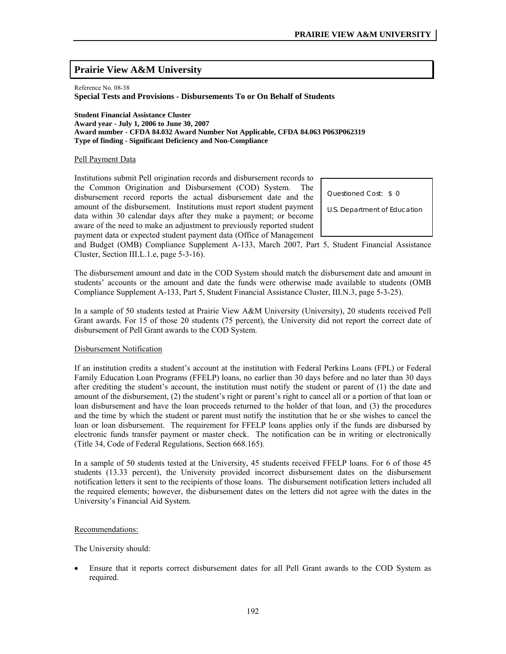# **Prairie View A&M University**

Reference No. 08-38

**Special Tests and Provisions - Disbursements To or On Behalf of Students** 

**Student Financial Assistance Cluster Award year - July 1, 2006 to June 30, 2007 Award number - CFDA 84.032 Award Number Not Applicable, CFDA 84.063 P063P062319 Type of finding - Significant Deficiency and Non-Compliance** 

### Pell Payment Data

Institutions submit Pell origination records and disbursement records to the Common Origination and Disbursement (COD) System. The disbursement record reports the actual disbursement date and the amount of the disbursement. Institutions must report student payment data within 30 calendar days after they make a payment; or become aware of the need to make an adjustment to previously reported student payment data or expected student payment data (Office of Management

Questioned Cost: \$ 0

U.S. Department of Education

and Budget (OMB) Compliance Supplement A-133, March 2007, Part 5, Student Financial Assistance Cluster, Section III.L.1.e, page 5-3-16).

The disbursement amount and date in the COD System should match the disbursement date and amount in students' accounts or the amount and date the funds were otherwise made available to students (OMB Compliance Supplement A-133, Part 5, Student Financial Assistance Cluster, III.N.3, page 5-3-25).

In a sample of 50 students tested at Prairie View A&M University (University), 20 students received Pell Grant awards. For 15 of those 20 students (75 percent), the University did not report the correct date of disbursement of Pell Grant awards to the COD System.

#### Disbursement Notification

If an institution credits a student's account at the institution with Federal Perkins Loans (FPL) or Federal Family Education Loan Programs (FFELP) loans, no earlier than 30 days before and no later than 30 days after crediting the student's account, the institution must notify the student or parent of (1) the date and amount of the disbursement, (2) the student's right or parent's right to cancel all or a portion of that loan or loan disbursement and have the loan proceeds returned to the holder of that loan, and (3) the procedures and the time by which the student or parent must notify the institution that he or she wishes to cancel the loan or loan disbursement. The requirement for FFELP loans applies only if the funds are disbursed by electronic funds transfer payment or master check. The notification can be in writing or electronically (Title 34, Code of Federal Regulations, Section 668.165).

In a sample of 50 students tested at the University, 45 students received FFELP loans. For 6 of those 45 students (13.33 percent), the University provided incorrect disbursement dates on the disbursement notification letters it sent to the recipients of those loans. The disbursement notification letters included all the required elements; however, the disbursement dates on the letters did not agree with the dates in the University's Financial Aid System.

# Recommendations:

The University should:

• Ensure that it reports correct disbursement dates for all Pell Grant awards to the COD System as required.